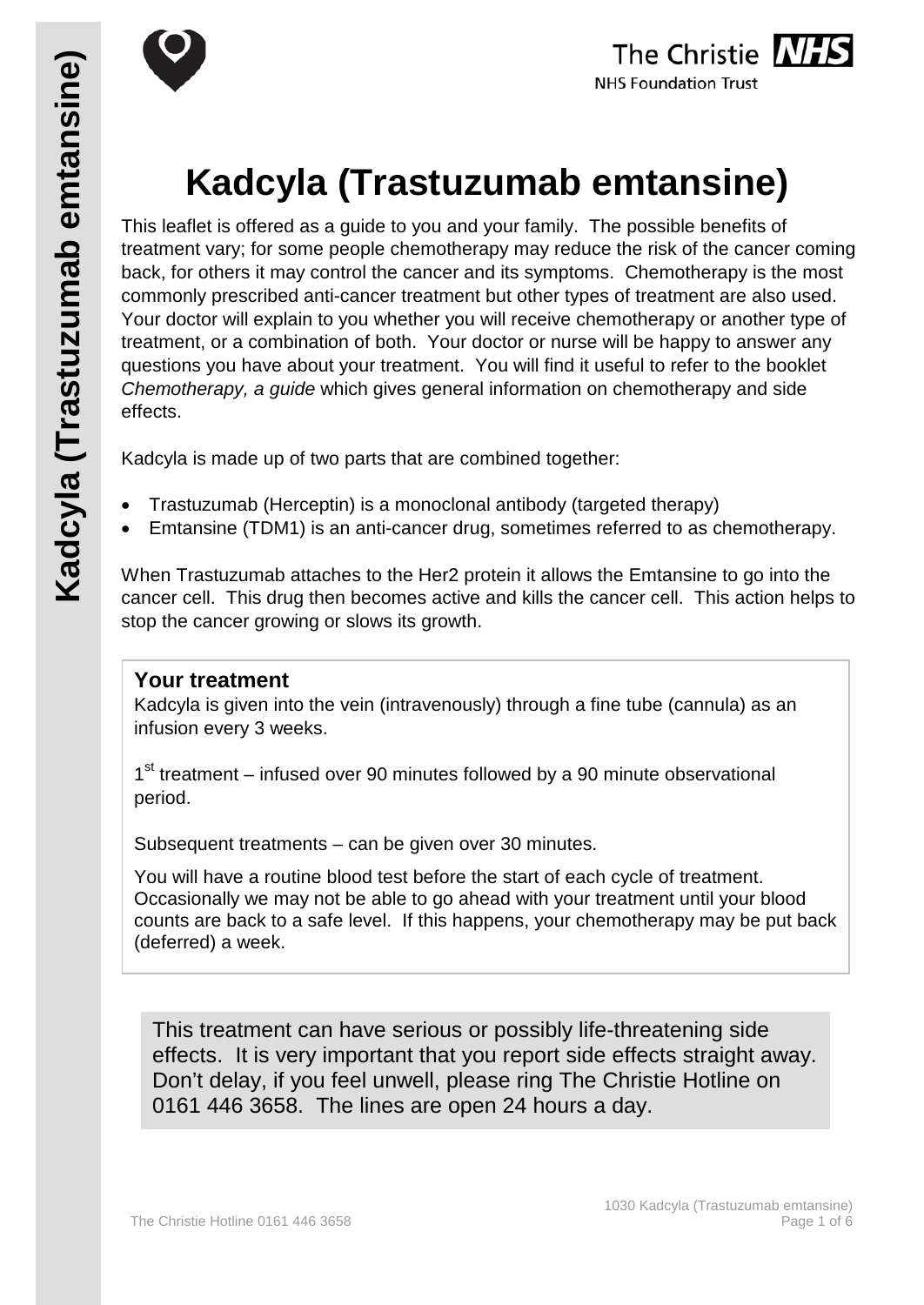





# **Kadcyla (Trastuzumab emtansine)**

This leaflet is offered as a guide to you and your family. The possible benefits of treatment vary; for some people chemotherapy may reduce the risk of the cancer coming back, for others it may control the cancer and its symptoms. Chemotherapy is the most commonly prescribed anti-cancer treatment but other types of treatment are also used. Your doctor will explain to you whether you will receive chemotherapy or another type of treatment, or a combination of both. Your doctor or nurse will be happy to answer any questions you have about your treatment. You will find it useful to refer to the booklet *Chemotherapy, a guide* which gives general information on chemotherapy and side effects.

Kadcyla is made up of two parts that are combined together:

- Trastuzumab (Herceptin) is a monoclonal antibody (targeted therapy)
- Emtansine (TDM1) is an anti-cancer drug, sometimes referred to as chemotherapy.

When Trastuzumab attaches to the Her2 protein it allows the Emtansine to go into the cancer cell. This drug then becomes active and kills the cancer cell. This action helps to stop the cancer growing or slows its growth.

### **Your treatment**

Kadcyla is given into the vein (intravenously) through a fine tube (cannula) as an infusion every 3 weeks.

1<sup>st</sup> treatment – infused over 90 minutes followed by a 90 minute observational period.

Subsequent treatments – can be given over 30 minutes.

You will have a routine blood test before the start of each cycle of treatment. Occasionally we may not be able to go ahead with your treatment until your blood counts are back to a safe level. If this happens, your chemotherapy may be put back (deferred) a week.

This treatment can have serious or possibly life-threatening side effects. It is very important that you report side effects straight away. Don't delay, if you feel unwell, please ring The Christie Hotline on 0161 446 3658. The lines are open 24 hours a day.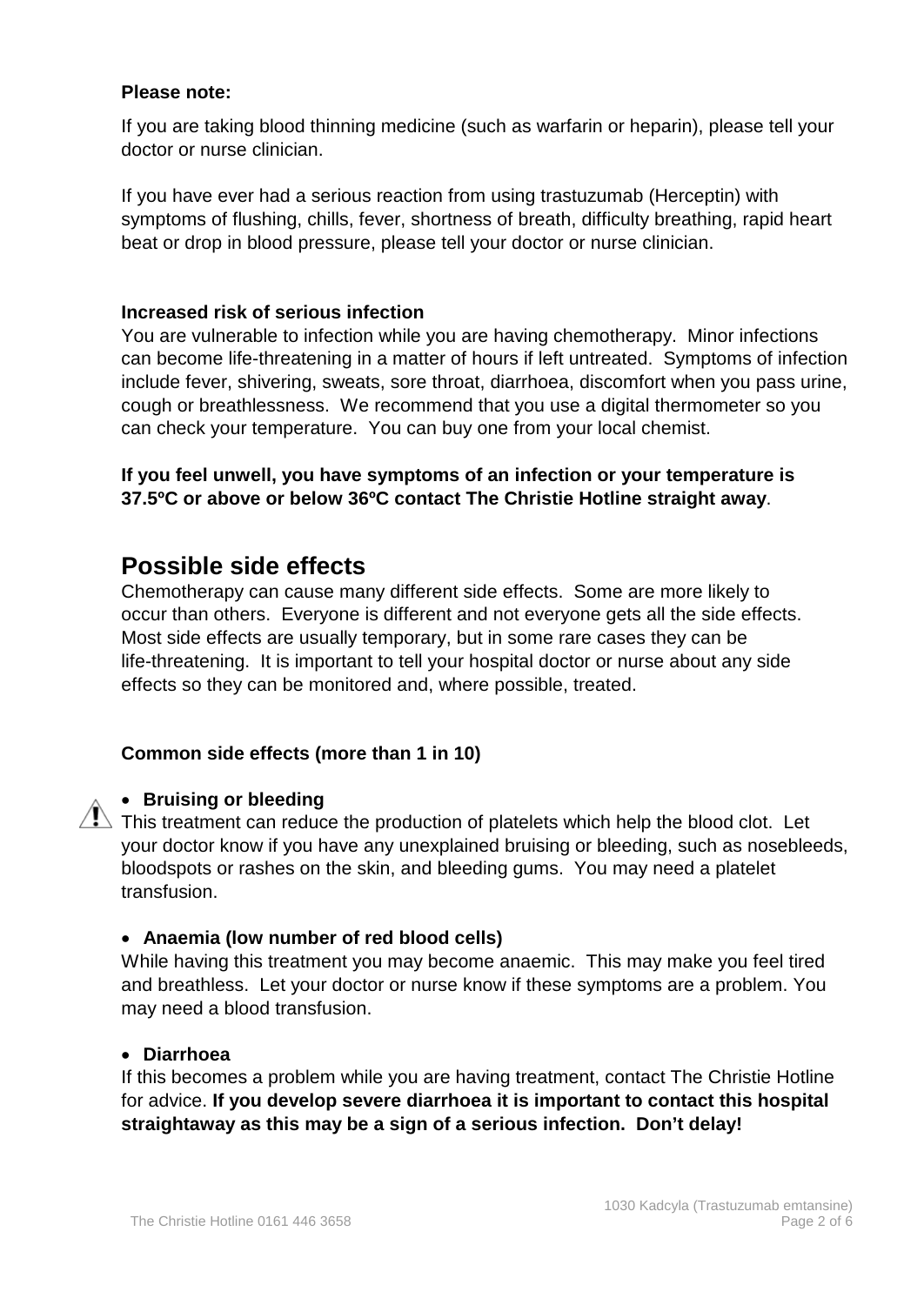#### **Please note:**

If you are taking blood thinning medicine (such as warfarin or heparin), please tell your doctor or nurse clinician.

If you have ever had a serious reaction from using trastuzumab (Herceptin) with symptoms of flushing, chills, fever, shortness of breath, difficulty breathing, rapid heart beat or drop in blood pressure, please tell your doctor or nurse clinician.

#### **Increased risk of serious infection**

You are vulnerable to infection while you are having chemotherapy. Minor infections can become life-threatening in a matter of hours if left untreated. Symptoms of infection include fever, shivering, sweats, sore throat, diarrhoea, discomfort when you pass urine, cough or breathlessness. We recommend that you use a digital thermometer so you can check your temperature. You can buy one from your local chemist.

#### **If you feel unwell, you have symptoms of an infection or your temperature is 37.5ºC or above or below 36ºC contact The Christie Hotline straight away**.

## **Possible side effects**

Chemotherapy can cause many different side effects. Some are more likely to occur than others. Everyone is different and not everyone gets all the side effects. Most side effects are usually temporary, but in some rare cases they can be life-threatening. It is important to tell your hospital doctor or nurse about any side effects so they can be monitored and, where possible, treated.

#### **Common side effects (more than 1 in 10)**

#### • **Bruising or bleeding**

 $\sqrt{!}$  This treatment can reduce the production of platelets which help the blood clot. Let your doctor know if you have any unexplained bruising or bleeding, such as nosebleeds, bloodspots or rashes on the skin, and bleeding gums. You may need a platelet transfusion.

#### • **Anaemia (low number of red blood cells)**

While having this treatment you may become anaemic. This may make you feel tired and breathless. Let your doctor or nurse know if these symptoms are a problem. You may need a blood transfusion.

#### • **Diarrhoea**

If this becomes a problem while you are having treatment, contact The Christie Hotline for advice. **If you develop severe diarrhoea it is important to contact this hospital straightaway as this may be a sign of a serious infection. Don't delay!**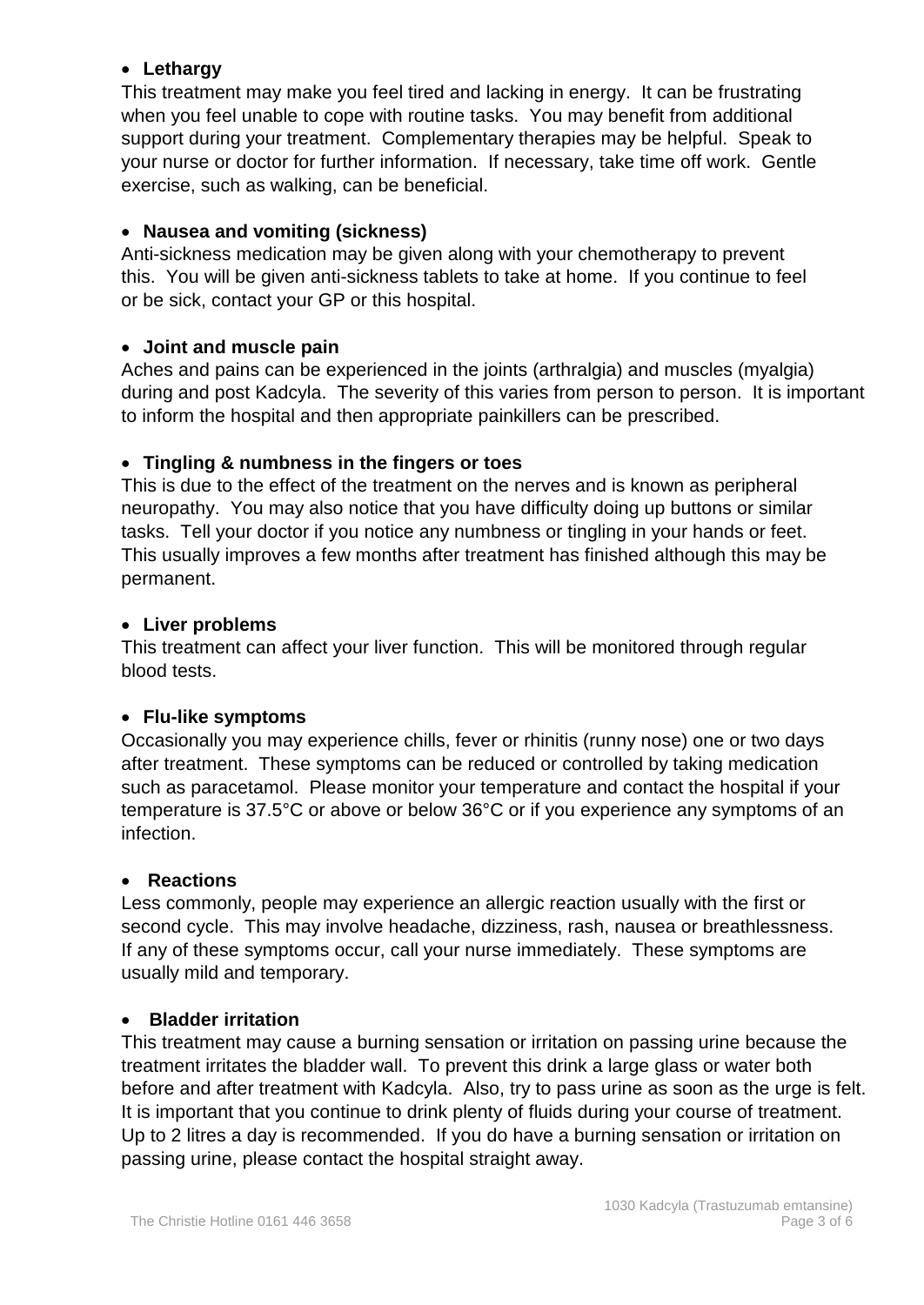#### • **Lethargy**

This treatment may make you feel tired and lacking in energy. It can be frustrating when you feel unable to cope with routine tasks. You may benefit from additional support during your treatment. Complementary therapies may be helpful. Speak to your nurse or doctor for further information. If necessary, take time off work. Gentle exercise, such as walking, can be beneficial.

#### • **Nausea and vomiting (sickness)**

Anti-sickness medication may be given along with your chemotherapy to prevent this. You will be given anti-sickness tablets to take at home. If you continue to feel or be sick, contact your GP or this hospital.

#### • **Joint and muscle pain**

Aches and pains can be experienced in the joints (arthralgia) and muscles (myalgia) during and post Kadcyla. The severity of this varies from person to person. It is important to inform the hospital and then appropriate painkillers can be prescribed.

#### • **Tingling & numbness in the fingers or toes**

This is due to the effect of the treatment on the nerves and is known as peripheral neuropathy. You may also notice that you have difficulty doing up buttons or similar tasks. Tell your doctor if you notice any numbness or tingling in your hands or feet. This usually improves a few months after treatment has finished although this may be permanent.

#### • **Liver problems**

This treatment can affect your liver function. This will be monitored through regular blood tests.

#### • **Flu-like symptoms**

Occasionally you may experience chills, fever or rhinitis (runny nose) one or two days after treatment. These symptoms can be reduced or controlled by taking medication such as paracetamol. Please monitor your temperature and contact the hospital if your temperature is 37.5°C or above or below 36°C or if you experience any symptoms of an infection.

#### • **Reactions**

Less commonly, people may experience an allergic reaction usually with the first or second cycle. This may involve headache, dizziness, rash, nausea or breathlessness. If any of these symptoms occur, call your nurse immediately. These symptoms are usually mild and temporary.

#### • **Bladder irritation**

This treatment may cause a burning sensation or irritation on passing urine because the treatment irritates the bladder wall. To prevent this drink a large glass or water both before and after treatment with Kadcyla. Also, try to pass urine as soon as the urge is felt. It is important that you continue to drink plenty of fluids during your course of treatment. Up to 2 litres a day is recommended. If you do have a burning sensation or irritation on passing urine, please contact the hospital straight away.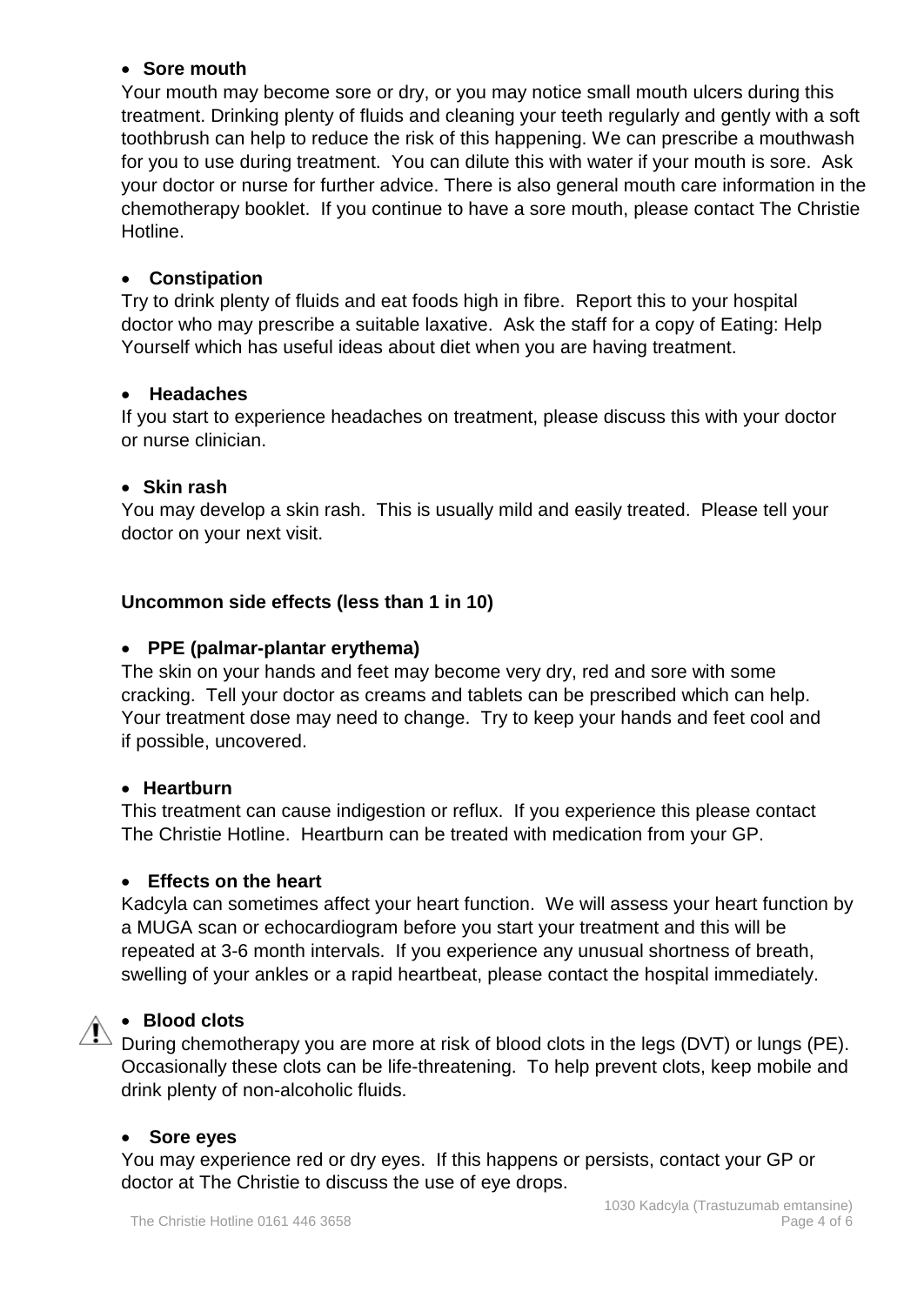#### • **Sore mouth**

Your mouth may become sore or dry, or you may notice small mouth ulcers during this treatment. Drinking plenty of fluids and cleaning your teeth regularly and gently with a soft toothbrush can help to reduce the risk of this happening. We can prescribe a mouthwash for you to use during treatment. You can dilute this with water if your mouth is sore. Ask your doctor or nurse for further advice. There is also general mouth care information in the chemotherapy booklet. If you continue to have a sore mouth, please contact The Christie Hotline.

#### • **Constipation**

Try to drink plenty of fluids and eat foods high in fibre. Report this to your hospital doctor who may prescribe a suitable laxative. Ask the staff for a copy of Eating: Help Yourself which has useful ideas about diet when you are having treatment.

#### • **Headaches**

If you start to experience headaches on treatment, please discuss this with your doctor or nurse clinician.

#### • **Skin rash**

You may develop a skin rash. This is usually mild and easily treated. Please tell your doctor on your next visit.

#### **Uncommon side effects (less than 1 in 10)**

#### • **PPE (palmar-plantar erythema)**

The skin on your hands and feet may become very dry, red and sore with some cracking. Tell your doctor as creams and tablets can be prescribed which can help. Your treatment dose may need to change. Try to keep your hands and feet cool and if possible, uncovered.

#### • **Heartburn**

This treatment can cause indigestion or reflux. If you experience this please contact The Christie Hotline. Heartburn can be treated with medication from your GP.

#### • **Effects on the heart**

Kadcyla can sometimes affect your heart function. We will assess your heart function by a MUGA scan or echocardiogram before you start your treatment and this will be repeated at 3-6 month intervals. If you experience any unusual shortness of breath, swelling of your ankles or a rapid heartbeat, please contact the hospital immediately.

#### • **Blood clots**

During chemotherapy you are more at risk of blood clots in the legs (DVT) or lungs (PE). Occasionally these clots can be life-threatening. To help prevent clots, keep mobile and drink plenty of non-alcoholic fluids.

#### • **Sore eyes**

You may experience red or dry eyes. If this happens or persists, contact your GP or doctor at The Christie to discuss the use of eye drops.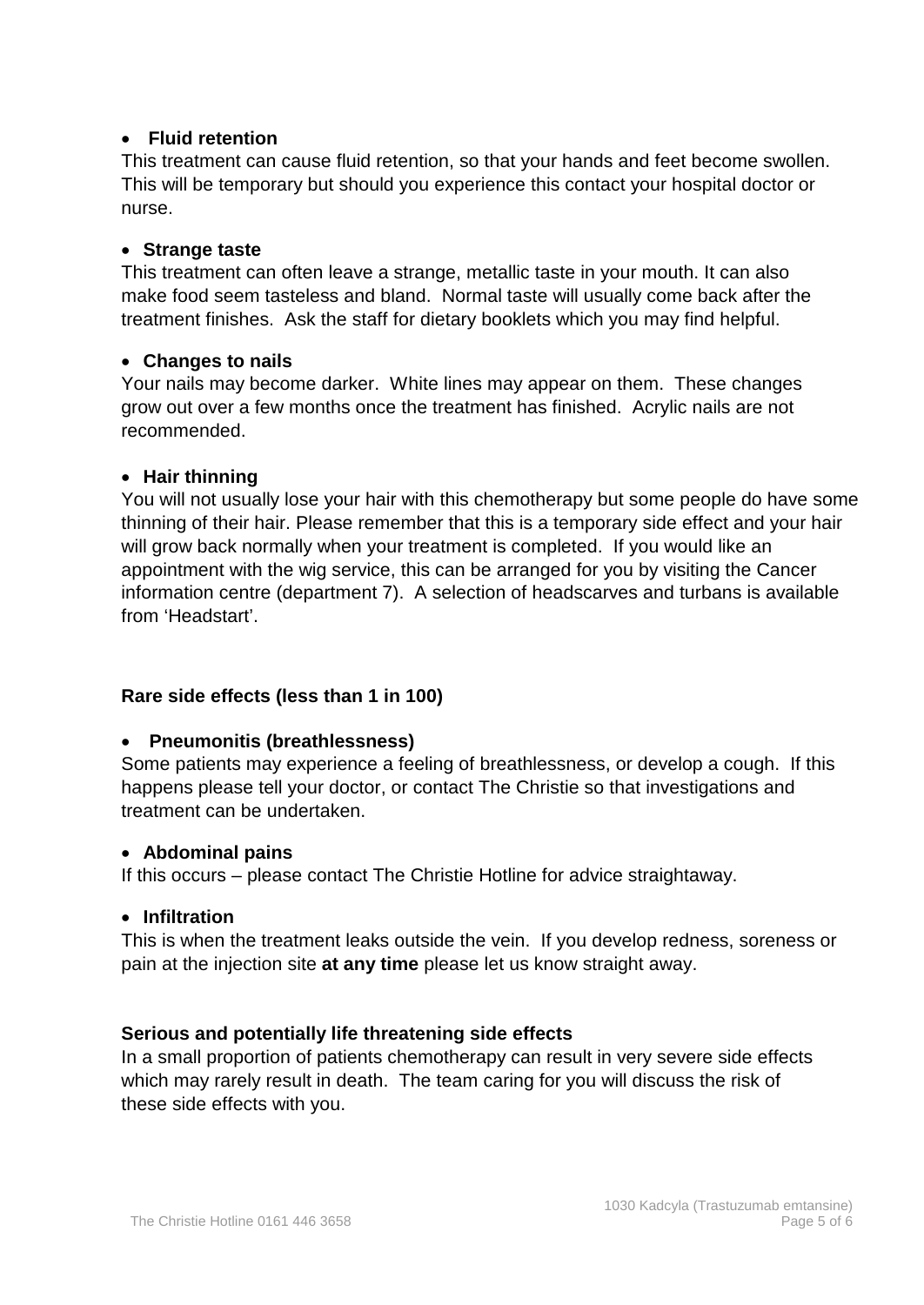#### • **Fluid retention**

This treatment can cause fluid retention, so that your hands and feet become swollen. This will be temporary but should you experience this contact your hospital doctor or nurse.

#### • **Strange taste**

This treatment can often leave a strange, metallic taste in your mouth. It can also make food seem tasteless and bland. Normal taste will usually come back after the treatment finishes. Ask the staff for dietary booklets which you may find helpful.

#### • **Changes to nails**

Your nails may become darker. White lines may appear on them. These changes grow out over a few months once the treatment has finished. Acrylic nails are not recommended.

#### • **Hair thinning**

You will not usually lose your hair with this chemotherapy but some people do have some thinning of their hair. Please remember that this is a temporary side effect and your hair will grow back normally when your treatment is completed. If you would like an appointment with the wig service, this can be arranged for you by visiting the Cancer information centre (department 7). A selection of headscarves and turbans is available from 'Headstart'.

#### **Rare side effects (less than 1 in 100)**

#### • **Pneumonitis (breathlessness)**

Some patients may experience a feeling of breathlessness, or develop a cough. If this happens please tell your doctor, or contact The Christie so that investigations and treatment can be undertaken.

#### • **Abdominal pains**

If this occurs – please contact The Christie Hotline for advice straightaway.

#### • **Infiltration**

This is when the treatment leaks outside the vein. If you develop redness, soreness or pain at the injection site **at any time** please let us know straight away.

#### **Serious and potentially life threatening side effects**

In a small proportion of patients chemotherapy can result in very severe side effects which may rarely result in death. The team caring for you will discuss the risk of these side effects with you.